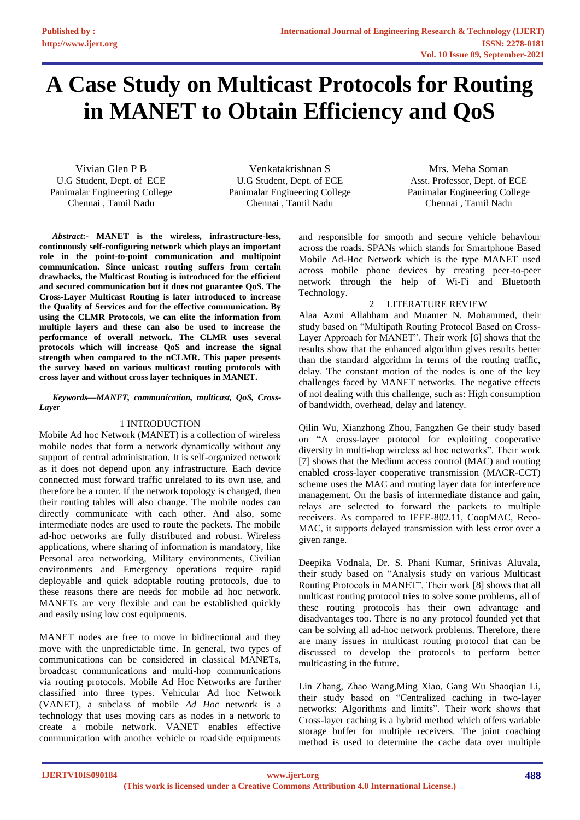# **A Case Study on Multicast Protocols for Routing in MANET to Obtain Efficiency and QoS**

Vivian Glen P B U.G Student, Dept. of ECE Panimalar Engineering College Chennai , Tamil Nadu

Venkatakrishnan S U.G Student, Dept. of ECE Panimalar Engineering College Chennai , Tamil Nadu

Mrs. Meha Soman Asst. Professor, Dept. of ECE Panimalar Engineering College Chennai , Tamil Nadu

*Abstract***:- MANET is the wireless, infrastructure-less, continuously self-configuring network which plays an important role in the point-to-point communication and multipoint communication. Since unicast routing suffers from certain drawbacks, the Multicast Routing is introduced for the efficient and secured communication but it does not guarantee QoS. The Cross-Layer Multicast Routing is later introduced to increase the Quality of Services and for the effective communication. By using the CLMR Protocols, we can elite the information from multiple layers and these can also be used to increase the performance of overall network. The CLMR uses several protocols which will increase QoS and increase the signal strength when compared to the nCLMR. This paper presents the survey based on various multicast routing protocols with cross layer and without cross layer techniques in MANET.** 

*Keywords—MANET, communication, multicast, QoS, Cross-Layer* 

# 1 INTRODUCTION

Mobile Ad hoc Network (MANET) is a collection of wireless mobile nodes that form a network dynamically without any support of central administration. It is self-organized network as it does not depend upon any infrastructure. Each device connected must forward traffic unrelated to its own use, and therefore be a router. If the network topology is changed, then their routing tables will also change. The mobile nodes can directly communicate with each other. And also, some intermediate nodes are used to route the packets. The mobile ad-hoc networks are fully distributed and robust. Wireless applications, where sharing of information is mandatory, like Personal area networking, Military environments, Civilian environments and Emergency operations require rapid deployable and quick adoptable routing protocols, due to these reasons there are needs for mobile ad hoc network. MANETs are very flexible and can be established quickly and easily using low cost equipments.

MANET nodes are free to move in bidirectional and they move with the unpredictable time. In general, two types of communications can be considered in classical MANETs, broadcast communications and multi-hop communications via routing protocols. Mobile Ad Hoc Networks are further classified into three types. Vehicular Ad hoc Network (VANET), a subclass of mobile *Ad Hoc* network is a technology that uses moving cars as nodes in a network to create a mobile network. VANET enables effective communication with another vehicle or roadside equipments

and responsible for smooth and secure vehicle behaviour across the roads. SPANs which stands for Smartphone Based Mobile Ad-Hoc Network which is the type MANET used across mobile phone devices by creating peer-to-peer network through the help of Wi-Fi and Bluetooth Technology.

# 2 LITERATURE REVIEW

Alaa Azmi Allahham and Muamer N. Mohammed, their study based on "Multipath Routing Protocol Based on Cross-Layer Approach for MANET". Their work [6] shows that the results show that the enhanced algorithm gives results better than the standard algorithm in terms of the routing traffic, delay. The constant motion of the nodes is one of the key challenges faced by MANET networks. The negative effects of not dealing with this challenge, such as: High consumption of bandwidth, overhead, delay and latency.

Qilin Wu, Xianzhong Zhou, Fangzhen Ge their study based on "A cross-layer protocol for exploiting cooperative diversity in multi-hop wireless ad hoc networks". Their work [7] shows that the Medium access control (MAC) and routing enabled cross-layer cooperative transmission (MACR-CCT) scheme uses the MAC and routing layer data for interference management. On the basis of intermediate distance and gain, relays are selected to forward the packets to multiple receivers. As compared to IEEE-802.11, CoopMAC, Reco-MAC, it supports delayed transmission with less error over a given range.

Deepika Vodnala, Dr. S. Phani Kumar, Srinivas Aluvala, their study based on "Analysis study on various Multicast Routing Protocols in MANET". Their work [8] shows that all multicast routing protocol tries to solve some problems, all of these routing protocols has their own advantage and disadvantages too. There is no any protocol founded yet that can be solving all ad-hoc network problems. Therefore, there are many issues in multicast routing protocol that can be discussed to develop the protocols to perform better multicasting in the future.

Lin Zhang, Zhao Wang,Ming Xiao, Gang Wu Shaoqian Li, their study based on "Centralized caching in two-layer networks: Algorithms and limits". Their work shows that Cross-layer caching is a hybrid method which offers variable storage buffer for multiple receivers. The joint coaching method is used to determine the cache data over multiple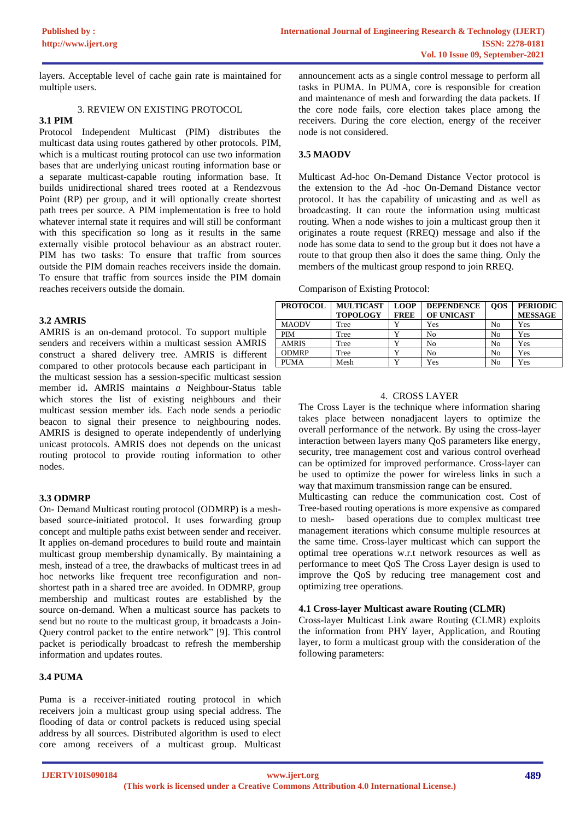layers. Acceptable level of cache gain rate is maintained for multiple users.

#### 3. REVIEW ON EXISTING PROTOCOL

# **3.1 PIM**

Protocol Independent Multicast (PIM) distributes the multicast data using routes gathered by other protocols. PIM, which is a multicast routing protocol can use two information bases that are underlying unicast routing information base or a separate multicast-capable routing information base. It builds unidirectional shared trees rooted at a Rendezvous Point (RP) per group, and it will optionally create shortest path trees per source. A PIM implementation is free to hold whatever internal state it requires and will still be conformant with this specification so long as it results in the same externally visible protocol behaviour as an abstract router. PIM has two tasks: To ensure that traffic from sources outside the PIM domain reaches receivers inside the domain. To ensure that traffic from sources inside the PIM domain reaches receivers outside the domain.

# **3.2 AMRIS**

AMRIS is an on-demand protocol. To support multiple senders and receivers within a multicast session AMRIS construct a shared delivery tree. AMRIS is different compared to other protocols because each participant in the multicast session has a session-specific multicast session member id**.** AMRIS maintains *a* Neighbour-Status table which stores the list of existing neighbours and their multicast session member ids. Each node sends a periodic beacon to signal their presence to neighbouring nodes. AMRIS is designed to operate independently of underlying unicast protocols. AMRIS does not depends on the unicast routing protocol to provide routing information to other nodes.

# **3.3 ODMRP**

On- Demand Multicast routing protocol (ODMRP) is a meshbased source-initiated protocol. It uses forwarding group concept and multiple paths exist between sender and receiver. It applies on-demand procedures to build route and maintain multicast group membership dynamically. By maintaining a mesh, instead of a tree, the drawbacks of multicast trees in ad hoc networks like frequent tree reconfiguration and nonshortest path in a shared tree are avoided. In ODMRP, group membership and multicast routes are established by the source on-demand. When a multicast source has packets to send but no route to the multicast group, it broadcasts a Join-Query control packet to the entire network" [9]. This control packet is periodically broadcast to refresh the membership information and updates routes.

# **3.4 PUMA**

Puma is a receiver-initiated routing protocol in which receivers join a multicast group using special address. The flooding of data or control packets is reduced using special address by all sources. Distributed algorithm is used to elect core among receivers of a multicast group. Multicast

announcement acts as a single control message to perform all tasks in PUMA. In PUMA, core is responsible for creation and maintenance of mesh and forwarding the data packets. If the core node fails, core election takes place among the receivers. During the core election, energy of the receiver node is not considered.

# **3.5 MAODV**

Multicast Ad-hoc On-Demand Distance Vector protocol is the extension to the Ad -hoc On-Demand Distance vector protocol. It has the capability of unicasting and as well as broadcasting. It can route the information using multicast routing. When a node wishes to join a multicast group then it originates a route request (RREQ) message and also if the node has some data to send to the group but it does not have a route to that group then also it does the same thing. Only the members of the multicast group respond to join RREQ.

Comparison of Existing Protocol:

| <b>PROTOCOL</b> | <b>MULTICAST</b> | <b>LOOP</b> | <b>DEPENDENCE</b> | <b>OOS</b> | <b>PERIODIC</b> |
|-----------------|------------------|-------------|-------------------|------------|-----------------|
|                 | <b>TOPOLOGY</b>  | <b>FREE</b> | OF UNICAST        |            | <b>MESSAGE</b>  |
| <b>MAODV</b>    | Tree             |             | Yes               | No         | Yes             |
| <b>PIM</b>      | Tree             |             | No                | No         | Yes             |
| <b>AMRIS</b>    | Tree             |             | No                | No         | Yes             |
| <b>ODMRP</b>    | Tree             |             | No                | No         | Yes             |
| <b>PUMA</b>     | Mesh             |             | Yes               | No         | Yes             |

### 4. CROSS LAYER

The Cross Layer is the technique where information sharing takes place between nonadjacent layers to optimize the overall performance of the network. By using the cross-layer interaction between layers many QoS parameters like energy, security, tree management cost and various control overhead can be optimized for improved performance. Cross-layer can be used to optimize the power for wireless links in such a way that maximum transmission range can be ensured.

Multicasting can reduce the communication cost. Cost of Tree-based routing operations is more expensive as compared to mesh- based operations due to complex multicast tree management iterations which consume multiple resources at the same time. Cross-layer multicast which can support the optimal tree operations w.r.t network resources as well as performance to meet QoS The Cross Layer design is used to improve the QoS by reducing tree management cost and optimizing tree operations.

# **4.1 Cross-layer Multicast aware Routing (CLMR)**

Cross-layer Multicast Link aware Routing (CLMR) exploits the information from PHY layer, Application, and Routing layer, to form a multicast group with the consideration of the following parameters: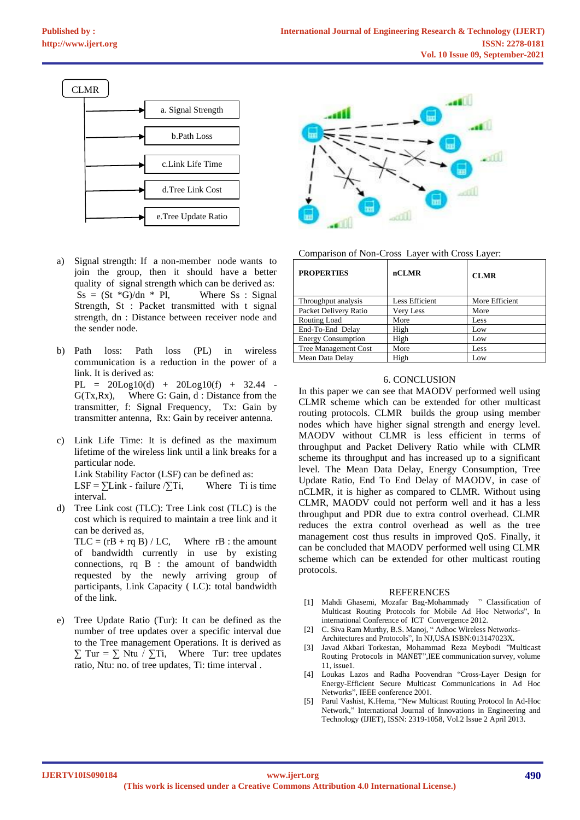

- a) Signal strength: If a non-member node wants to join the group, then it should have a better quality of signal strength which can be derived as:  $S_s = (St *G)/dn * Pl$ , Where Ss : Signal Strength, St : Packet transmitted with t signal strength, dn : Distance between receiver node and the sender node.
- b) Path loss: Path loss (PL) in wireless communication is a reduction in the power of a link. It is derived as:  $PL = 20Log10(d) + 20Log10(f) + 32.44$ G(Tx,Rx), Where G: Gain, d : Distance from the transmitter, f: Signal Frequency, Tx: Gain by transmitter antenna, Rx: Gain by receiver antenna.
- c) Link Life Time: It is defined as the maximum lifetime of the wireless link until a link breaks for a particular node. Link Stability Factor (LSF) can be defined as: LSF =  $\Sigma$ Link - failure  $\Sigma$ Ti, Where Ti is time interval.
- d) Tree Link cost (TLC): Tree Link cost (TLC) is the cost which is required to maintain a tree link and it can be derived as,  $TLC = (rB + rq B) / LC$ , Where rB : the amount of bandwidth currently in use by existing

connections, rq B : the amount of bandwidth requested by the newly arriving group of participants, Link Capacity ( LC): total bandwidth of the link.

e) Tree Update Ratio (Tur): It can be defined as the number of tree updates over a specific interval due to the Tree management Operations. It is derived as  $\sum$  Tur =  $\sum$  Ntu /  $\sum$ Ti, Where Tur: tree updates ratio, Ntu: no. of tree updates, Ti: time interval .



### Comparison of Non-Cross Layer with Cross Layer:

| <b>PROPERTIES</b>         | nCLMR          | <b>CLMR</b>    |
|---------------------------|----------------|----------------|
| Throughput analysis       | Less Efficient | More Efficient |
| Packet Delivery Ratio     | Very Less      | More           |
| Routing Load              | More           | Less           |
| End-To-End Delay          | High           | Low            |
| <b>Energy Consumption</b> | High           | Low            |
| Tree Management Cost      | More           | Less           |
| Mean Data Delay           | High           | Low            |

### 6. CONCLUSION

In this paper we can see that MAODV performed well using CLMR scheme which can be extended for other multicast routing protocols. CLMR builds the group using member nodes which have higher signal strength and energy level. MAODV without CLMR is less efficient in terms of throughput and Packet Delivery Ratio while with CLMR scheme its throughput and has increased up to a significant level. The Mean Data Delay, Energy Consumption, Tree Update Ratio, End To End Delay of MAODV, in case of nCLMR, it is higher as compared to CLMR. Without using CLMR, MAODV could not perform well and it has a less throughput and PDR due to extra control overhead. CLMR reduces the extra control overhead as well as the tree management cost thus results in improved QoS. Finally, it can be concluded that MAODV performed well using CLMR scheme which can be extended for other multicast routing protocols.

#### **REFERENCES**

- [1] Mahdi Ghasemi, Mozafar Bag-Mohammady " Classification of Multicast Routing Protocols for Mobile Ad Hoc Networks", In international Conference of ICT Convergence 2012.
- [2] C. Siva Ram Murthy, B.S. Manoj, " Adhoc Wireless Networks-Architectures and Protocols", In NJ,USA ISBN:013147023X.
- [3] Javad Akbari Torkestan, Mohammad Reza Meybodi "Multicast Routing Protocols in MANET",IEE communication survey, volume 11, issue1.
- [4] Loukas Lazos and Radha Poovendran "Cross-Layer Design for Energy-Efficient Secure Multicast Communications in Ad Hoc Networks", IEEE conference 2001.
- [5] Parul Vashist, K.Hema, "New Multicast Routing Protocol In Ad-Hoc Network," International Journal of Innovations in Engineering and Technology (IJIET), ISSN: 2319-1058, Vol.2 Issue 2 April 2013.